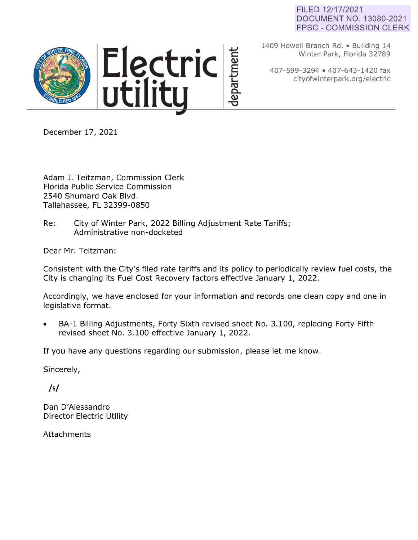## FILED 12/17/2021 DOCUMENT NO. 13080-2021 FPSC - COMMISSION CLERK



1409 Howell Branch Rd. • Building 14 Winter Park, Florida 32789

407-599-3294 • 407-643-1420 fax cityofwinterpark.org/electric

December 17, 2021

Adam J. Teitzman, Commission Clerk Florida Public Service Commission 2540 Shumard Oak Blvd. Tallahassee, FL 32399-0850

Re: City of Winter Park, 2022 Billing Adjustment Rate Tariffs; Administrative non-docketed

Dear Mr. Teitzman:

Consistent with the City's filed rate tariffs and its policy to periodically review fuel costs, the City is changing its Fuel Cost Recovery factors effective January 1, 2022.

Accordingly, we have enclosed for your information and records one clean copy and one in legislative format.

• BA-1 Billing Adjustments, Forty Sixth revised sheet No. 3.100, replacing Forty Fifth revised sheet No. 3.100 effective January 1, 2022.

If you have any questions regarding our submission, please let me know.

Sincerely,

*/sf* 

Dan D'Alessandro Director Electric Utility

Attachments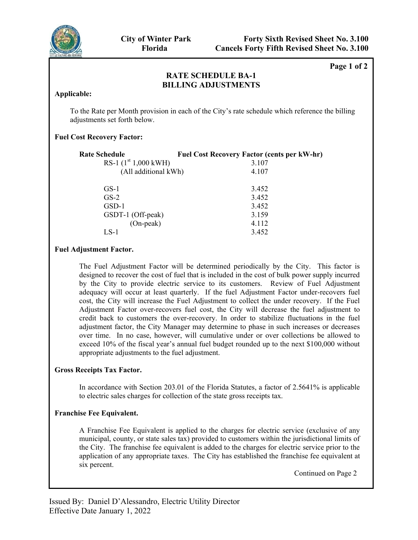

**Page 1 of 2**

# **RATE SCHEDULE RS – 1 Page 1 of 2 RATE SCHEDULE BA-1 BILLING ADJUSTMENTS**

### **Applicable:**

To the Rate per Month provision in each of the City's rate schedule which reference the billing adjustments set forth below.

## **Fuel Cost Recovery Factor:**

| <b>Rate Schedule</b>   | <b>Fuel Cost Recovery Factor (cents per kW-hr)</b> |
|------------------------|----------------------------------------------------|
| RS-1 $(1st 1,000$ kWH) | 3.107                                              |
| (All additional kWh)   | 4.107                                              |
|                        |                                                    |
| $GS-1$                 | 3.452                                              |
| $GS-2$                 | 3.452                                              |
| GSD-1                  | 3.452                                              |
| GSDT-1 (Off-peak)      | 3.159                                              |
| $(On-peak)$            | 4.112                                              |
| LS-1                   | 3.452                                              |

## **Fuel Adjustment Factor.**

The Fuel Adjustment Factor will be determined periodically by the City. This factor is designed to recover the cost of fuel that is included in the cost of bulk power supply incurred by the City to provide electric service to its customers. Review of Fuel Adjustment adequacy will occur at least quarterly. If the fuel Adjustment Factor under-recovers fuel cost, the City will increase the Fuel Adjustment to collect the under recovery. If the Fuel Adjustment Factor over-recovers fuel cost, the City will decrease the fuel adjustment to credit back to customers the over-recovery. In order to stabilize fluctuations in the fuel adjustment factor, the City Manager may determine to phase in such increases or decreases over time. In no case, however, will cumulative under or over collections be allowed to exceed 10% of the fiscal year's annual fuel budget rounded up to the next \$100,000 without appropriate adjustments to the fuel adjustment.

## **Gross Receipts Tax Factor.**

In accordance with Section 203.01 of the Florida Statutes, a factor of 2.5641% is applicable to electric sales charges for collection of the state gross receipts tax.

## **Franchise Fee Equivalent.**

A Franchise Fee Equivalent is applied to the charges for electric service (exclusive of any municipal, county, or state sales tax) provided to customers within the jurisdictional limits of the City. The franchise fee equivalent is added to the charges for electric service prior to the application of any appropriate taxes. The City has established the franchise fee equivalent at six percent.

Continued on Page 2